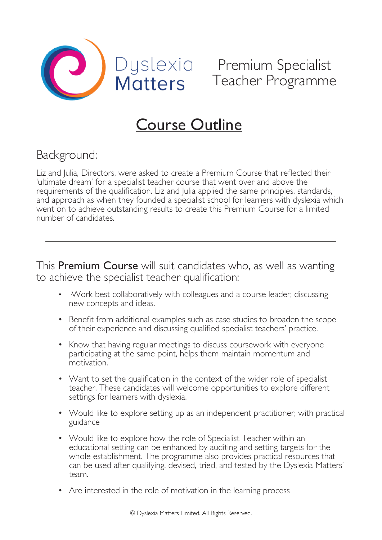



# Course Outline

## Background:

Liz and Julia, Directors, were asked to create a Premium Course that reflected their 'ultimate dream' for a specialist teacher course that went over and above the requirements of the qualification. Liz and Julia applied the same principles, standards, and approach as when they founded a specialist school for learners with dyslexia which went on to achieve outstanding results to create this Premium Course for a limited number of candidates.

This Premium Course will suit candidates who, as well as wanting to achieve the specialist teacher qualification:

- Work best collaboratively with colleagues and a course leader, discussing new concepts and ideas.
- Benefit from additional examples such as case studies to broaden the scope of their experience and discussing qualified specialist teachers' practice.
- Know that having regular meetings to discuss coursework with everyone participating at the same point, helps them maintain momentum and motivation.
- Want to set the qualification in the context of the wider role of specialist teacher. These candidates will welcome opportunities to explore different settings for learners with dyslexia.
- Would like to explore setting up as an independent practitioner, with practical guidance
- Would like to explore how the role of Specialist Teacher within an educational setting can be enhanced by auditing and setting targets for the whole establishment. The programme also provides practical resources that can be used after qualifying, devised, tried, and tested by the Dyslexia Matters' team.
- Are interested in the role of motivation in the learning process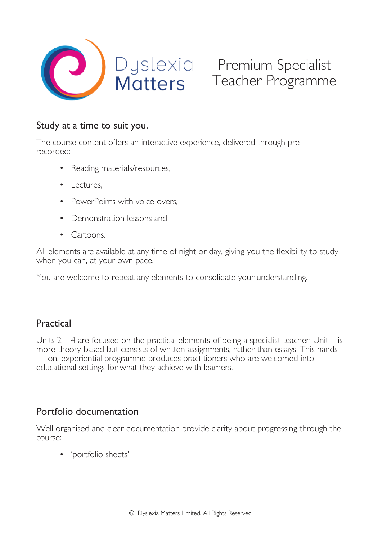

## Study at a time to suit you.

The course content offers an interactive experience, delivered through prerecorded:

- Reading materials/resources,
- Lectures,
- PowerPoints with voice-overs,
- Demonstration lessons and
- Cartoons.

All elements are available at any time of night or day, giving you the flexibility to study when you can, at your own pace.

You are welcome to repeat any elements to consolidate your understanding.

## Practical

Units  $2 - 4$  are focused on the practical elements of being a specialist teacher. Unit 1 is more theory-based but consists of written assignments, rather than essays. This handson, experiential programme produces practitioners who are welcomed into educational settings for what they achieve with learners.

## Portfolio documentation

Well organised and clear documentation provide clarity about progressing through the course:

• 'portfolio sheets'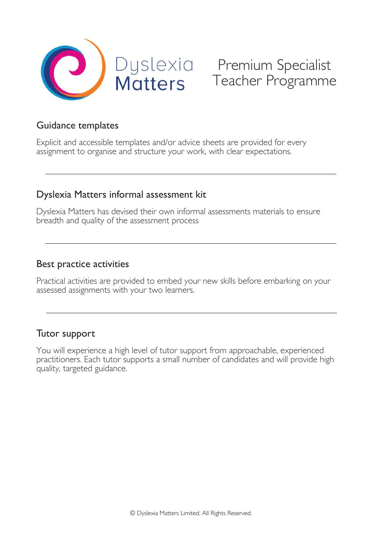

## Premium Specialist Teacher Programme

### Guidance templates

Explicit and accessible templates and/or advice sheets are provided for every assignment to organise and structure your work, with clear expectations.

## Dyslexia Matters informal assessment kit

Dyslexia Matters has devised their own informal assessments materials to ensure breadth and quality of the assessment process

#### Best practice activities

Practical activities are provided to embed your new skills before embarking on your assessed assignments with your two learners.

## Tutor support

You will experience a high level of tutor support from approachable, experienced practitioners. Each tutor supports a small number of candidates and will provide high quality, targeted guidance.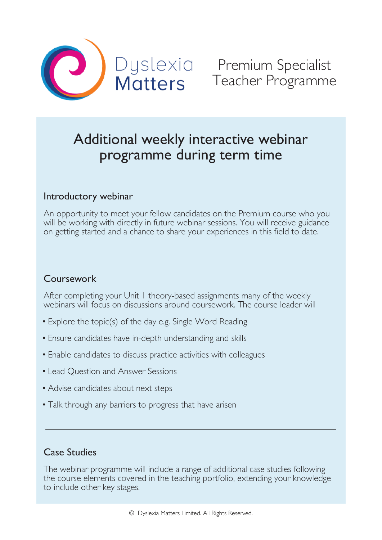

## Additional weekly interactive webinar programme during term time

## Introductory webinar

An opportunity to meet your fellow candidates on the Premium course who you will be working with directly in future webinar sessions. You will receive guidance on getting started and a chance to share your experiences in this field to date.

## Coursework

After completing your Unit 1 theory-based assignments many of the weekly webinars will focus on discussions around coursework. The course leader will

- Explore the topic(s) of the day e.g. Single Word Reading
- Ensure candidates have in-depth understanding and skills
- Enable candidates to discuss practice activities with colleagues
- Lead Question and Answer Sessions
- Advise candidates about next steps
- Talk through any barriers to progress that have arisen

## Case Studies

The webinar programme will include a range of additional case studies following the course elements covered in the teaching portfolio, extending your knowledge to include other key stages.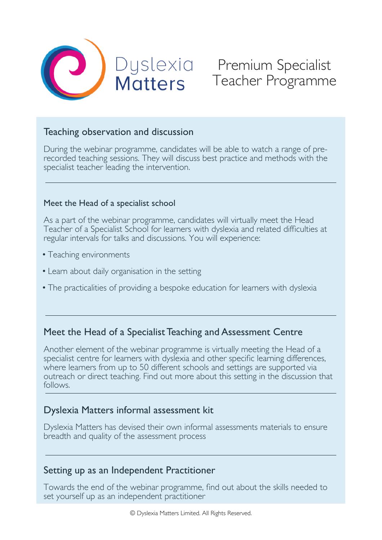

## Premium Specialist Teacher Programme

## Teaching observation and discussion

During the webinar programme, candidates will be able to watch a range of prerecorded teaching sessions. They will discuss best practice and methods with the specialist teacher leading the intervention.

#### Meet the Head of a specialist school

As a part of the webinar programme, candidates will virtually meet the Head Teacher of a Specialist School for learners with dyslexia and related difficulties at regular intervals for talks and discussions. You will experience:

- Teaching environments
- Learn about daily organisation in the setting
- The practicalities of providing a bespoke education for learners with dyslexia

## Meet the Head of a Specialist Teaching and Assessment Centre

Another element of the webinar programme is virtually meeting the Head of a specialist centre for learners with dyslexia and other specific learning differences, where learners from up to 50 different schools and settings are supported via outreach or direct teaching. Find out more about this setting in the discussion that follows.

## Dyslexia Matters informal assessment kit

Dyslexia Matters has devised their own informal assessments materials to ensure breadth and quality of the assessment process

## Setting up as an Independent Practitioner

Towards the end of the webinar programme, find out about the skills needed to set yourself up as an independent practitioner